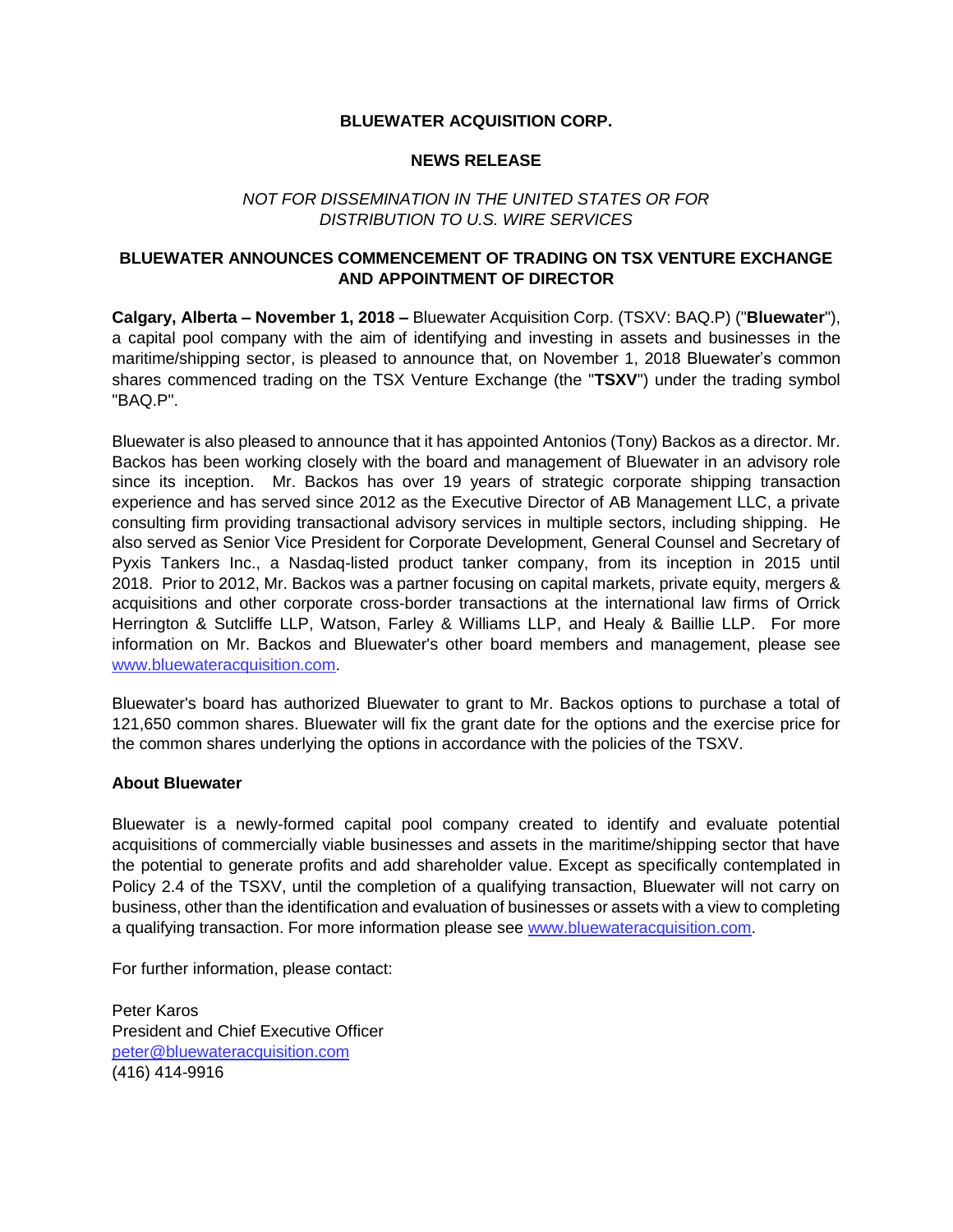## **BLUEWATER ACQUISITION CORP.**

#### **NEWS RELEASE**

## *NOT FOR DISSEMINATION IN THE UNITED STATES OR FOR DISTRIBUTION TO U.S. WIRE SERVICES*

# **BLUEWATER ANNOUNCES COMMENCEMENT OF TRADING ON TSX VENTURE EXCHANGE AND APPOINTMENT OF DIRECTOR**

**Calgary, Alberta – November 1, 2018 –** Bluewater Acquisition Corp. (TSXV: BAQ.P) ("**Bluewater**"), a capital pool company with the aim of identifying and investing in assets and businesses in the maritime/shipping sector, is pleased to announce that, on November 1, 2018 Bluewater's common shares commenced trading on the TSX Venture Exchange (the "**TSXV**") under the trading symbol "BAQ.P".

Bluewater is also pleased to announce that it has appointed Antonios (Tony) Backos as a director. Mr. Backos has been working closely with the board and management of Bluewater in an advisory role since its inception. Mr. Backos has over 19 years of strategic corporate shipping transaction experience and has served since 2012 as the Executive Director of AB Management LLC, a private consulting firm providing transactional advisory services in multiple sectors, including shipping. He also served as Senior Vice President for Corporate Development, General Counsel and Secretary of Pyxis Tankers Inc., a Nasdaq-listed product tanker company, from its inception in 2015 until 2018. Prior to 2012, Mr. Backos was a partner focusing on capital markets, private equity, mergers & acquisitions and other corporate cross-border transactions at the international law firms of Orrick Herrington & Sutcliffe LLP, Watson, Farley & Williams LLP, and Healy & Baillie LLP. For more information on Mr. Backos and Bluewater's other board members and management, please see [www.bluewateracquisition.com.](http://www.bluewateracquisition.com/)

Bluewater's board has authorized Bluewater to grant to Mr. Backos options to purchase a total of 121,650 common shares. Bluewater will fix the grant date for the options and the exercise price for the common shares underlying the options in accordance with the policies of the TSXV.

#### **About Bluewater**

Bluewater is a newly-formed capital pool company created to identify and evaluate potential acquisitions of commercially viable businesses and assets in the maritime/shipping sector that have the potential to generate profits and add shareholder value. Except as specifically contemplated in Policy 2.4 of the TSXV, until the completion of a qualifying transaction, Bluewater will not carry on business, other than the identification and evaluation of businesses or assets with a view to completing a qualifying transaction. For more information please see [www.bluewateracquisition.com.](http://www.bluewateracquisition.com/)

For further information, please contact:

Peter Karos President and Chief Executive Officer [peter@bluewateracquisition.com](mailto:414-9916peter@bluewateracquisition.com) (416) 414-9916